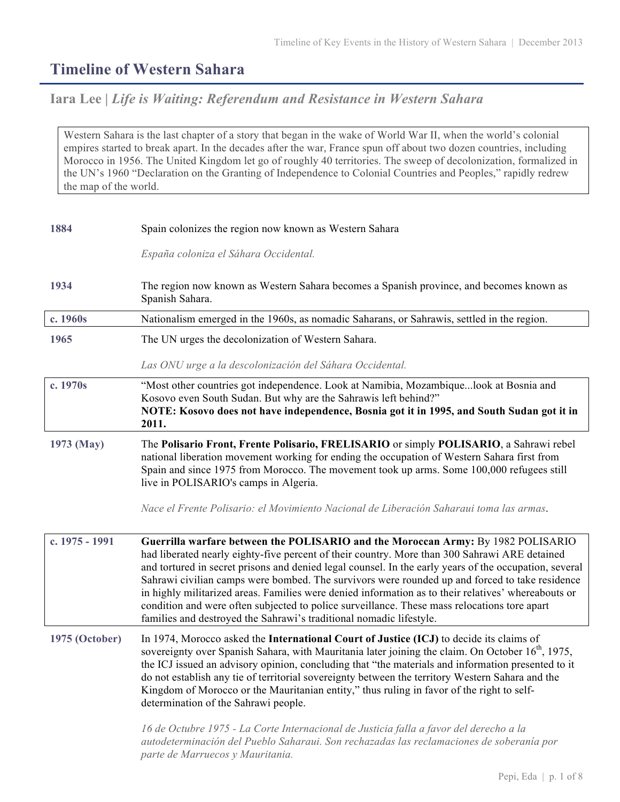## **Timeline of Western Sahara**

## **Iara Lee |** *Life is Waiting: Referendum and Resistance in Western Sahara*

Western Sahara is the last chapter of a story that began in the wake of World War II, when the world's colonial empires started to break apart. In the decades after the war, France spun off about two dozen countries, including Morocco in 1956. The United Kingdom let go of roughly 40 territories. The sweep of decolonization, formalized in the UN's 1960 "Declaration on the Granting of Independence to Colonial Countries and Peoples," rapidly redrew the map of the world.

| 1884           | Spain colonizes the region now known as Western Sahara                                                                                                                                                                                                                                                                                                                                                                                                                                                                                                                                                                                                                      |
|----------------|-----------------------------------------------------------------------------------------------------------------------------------------------------------------------------------------------------------------------------------------------------------------------------------------------------------------------------------------------------------------------------------------------------------------------------------------------------------------------------------------------------------------------------------------------------------------------------------------------------------------------------------------------------------------------------|
|                | España coloniza el Sáhara Occidental.                                                                                                                                                                                                                                                                                                                                                                                                                                                                                                                                                                                                                                       |
| 1934           | The region now known as Western Sahara becomes a Spanish province, and becomes known as<br>Spanish Sahara.                                                                                                                                                                                                                                                                                                                                                                                                                                                                                                                                                                  |
| c. 1960s       | Nationalism emerged in the 1960s, as nomadic Saharans, or Sahrawis, settled in the region.                                                                                                                                                                                                                                                                                                                                                                                                                                                                                                                                                                                  |
| 1965           | The UN urges the decolonization of Western Sahara.                                                                                                                                                                                                                                                                                                                                                                                                                                                                                                                                                                                                                          |
|                | Las ONU urge a la descolonización del Sáhara Occidental.                                                                                                                                                                                                                                                                                                                                                                                                                                                                                                                                                                                                                    |
| c. 1970s       | "Most other countries got independence. Look at Namibia, Mozambiquelook at Bosnia and<br>Kosovo even South Sudan. But why are the Sahrawis left behind?"<br>NOTE: Kosovo does not have independence, Bosnia got it in 1995, and South Sudan got it in<br>2011.                                                                                                                                                                                                                                                                                                                                                                                                              |
| 1973 (May)     | The Polisario Front, Frente Polisario, FRELISARIO or simply POLISARIO, a Sahrawi rebel<br>national liberation movement working for ending the occupation of Western Sahara first from<br>Spain and since 1975 from Morocco. The movement took up arms. Some 100,000 refugees still<br>live in POLISARIO's camps in Algeria.<br>Nace el Frente Polisario: el Movimiento Nacional de Liberación Saharaui toma las armas.                                                                                                                                                                                                                                                      |
| c. 1975 - 1991 | Guerrilla warfare between the POLISARIO and the Moroccan Army: By 1982 POLISARIO<br>had liberated nearly eighty-five percent of their country. More than 300 Sahrawi ARE detained<br>and tortured in secret prisons and denied legal counsel. In the early years of the occupation, several<br>Sahrawi civilian camps were bombed. The survivors were rounded up and forced to take residence<br>in highly militarized areas. Families were denied information as to their relatives' whereabouts or<br>condition and were often subjected to police surveillance. These mass relocations tore apart<br>families and destroyed the Sahrawi's traditional nomadic lifestyle. |
| 1975 (October) | In 1974, Morocco asked the International Court of Justice (ICJ) to decide its claims of<br>sovereignty over Spanish Sahara, with Mauritania later joining the claim. On October 16 <sup>th</sup> , 1975,<br>the ICJ issued an advisory opinion, concluding that "the materials and information presented to it<br>do not establish any tie of territorial sovereignty between the territory Western Sahara and the<br>Kingdom of Morocco or the Mauritanian entity," thus ruling in favor of the right to self-<br>determination of the Sahrawi people.                                                                                                                     |
|                | 16 de Octubre 1975 - La Corte Internacional de Justicia falla a favor del derecho a la<br>autodeterminación del Pueblo Saharaui. Son rechazadas las reclamaciones de soberanía por<br>parte de Marruecos y Mauritania.                                                                                                                                                                                                                                                                                                                                                                                                                                                      |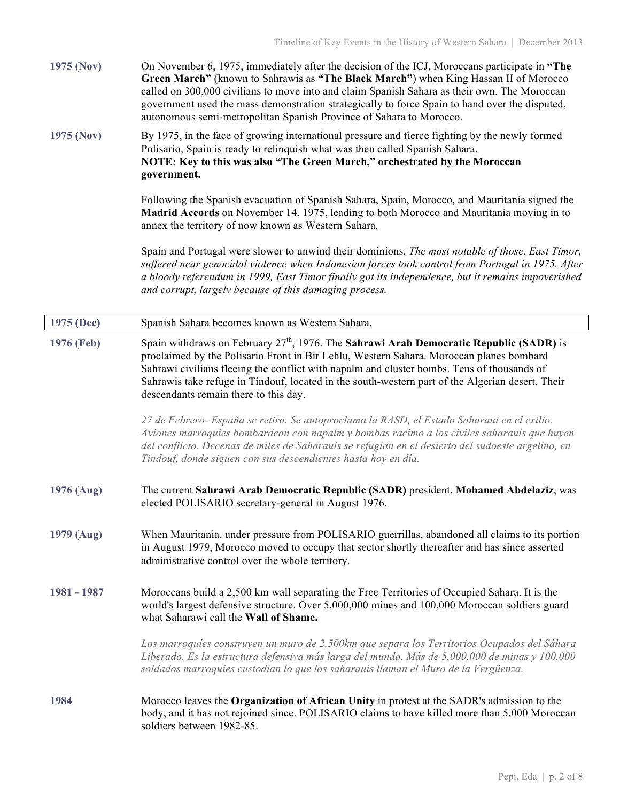**1975 (Nov)** On November 6, 1975, immediately after the decision of the ICJ, Moroccans participate in **"The Green March"** (known to Sahrawis as **"The Black March"**) when King Hassan II of Morocco called on 300,000 civilians to move into and claim Spanish Sahara as their own. The Moroccan government used the mass demonstration strategically to force Spain to hand over the disputed, autonomous semi-metropolitan Spanish Province of Sahara to Morocco.

**1975 (Nov)** By 1975, in the face of growing international pressure and fierce fighting by the newly formed Polisario, Spain is ready to relinquish what was then called Spanish Sahara. **NOTE: Key to this was also "The Green March," orchestrated by the Moroccan government.** 

> Following the Spanish evacuation of Spanish Sahara, Spain, Morocco, and Mauritania signed the **Madrid Accords** on November 14, 1975, leading to both Morocco and Mauritania moving in to annex the territory of now known as Western Sahara.

Spain and Portugal were slower to unwind their dominions. *The most notable of those, East Timor, suffered near genocidal violence when Indonesian forces took control from Portugal in 1975. After a bloody referendum in 1999, East Timor finally got its independence, but it remains impoverished and corrupt, largely because of this damaging process.*

| 1975 (Dec)  | Spanish Sahara becomes known as Western Sahara.                                                                                                                                                                                                                                                                                                                                                                                 |
|-------------|---------------------------------------------------------------------------------------------------------------------------------------------------------------------------------------------------------------------------------------------------------------------------------------------------------------------------------------------------------------------------------------------------------------------------------|
| 1976 (Feb)  | Spain withdraws on February $27th$ , 1976. The Sahrawi Arab Democratic Republic (SADR) is<br>proclaimed by the Polisario Front in Bir Lehlu, Western Sahara. Moroccan planes bombard<br>Sahrawi civilians fleeing the conflict with napalm and cluster bombs. Tens of thousands of<br>Sahrawis take refuge in Tindouf, located in the south-western part of the Algerian desert. Their<br>descendants remain there to this day. |
|             | 27 de Febrero- España se retira. Se autoproclama la RASD, el Estado Saharaui en el exilio.<br>Aviones marroquíes bombardean con napalm y bombas racimo a los civiles saharauis que huyen<br>del conflicto. Decenas de miles de Saharauis se refugian en el desierto del sudoeste argelino, en<br>Tindouf, donde siguen con sus descendientes hasta hoy en día.                                                                  |
| 1976 (Aug)  | The current Sahrawi Arab Democratic Republic (SADR) president, Mohamed Abdelaziz, was<br>elected POLISARIO secretary-general in August 1976.                                                                                                                                                                                                                                                                                    |
| 1979 (Aug)  | When Mauritania, under pressure from POLISARIO guerrillas, abandoned all claims to its portion<br>in August 1979, Morocco moved to occupy that sector shortly thereafter and has since asserted<br>administrative control over the whole territory.                                                                                                                                                                             |
| 1981 - 1987 | Moroccans build a 2,500 km wall separating the Free Territories of Occupied Sahara. It is the<br>world's largest defensive structure. Over 5,000,000 mines and 100,000 Moroccan soldiers guard<br>what Saharawi call the Wall of Shame.                                                                                                                                                                                         |
|             | Los marroquíes construyen un muro de 2.500km que separa los Territorios Ocupados del Sáhara<br>Liberado. Es la estructura defensiva más larga del mundo. Más de 5.000.000 de minas y 100.000<br>soldados marroquíes custodian lo que los saharauis llaman el Muro de la Vergüenza.                                                                                                                                              |
| 1984        | Morocco leaves the Organization of African Unity in protest at the SADR's admission to the<br>body, and it has not rejoined since. POLISARIO claims to have killed more than 5,000 Moroccan<br>soldiers between 1982-85.                                                                                                                                                                                                        |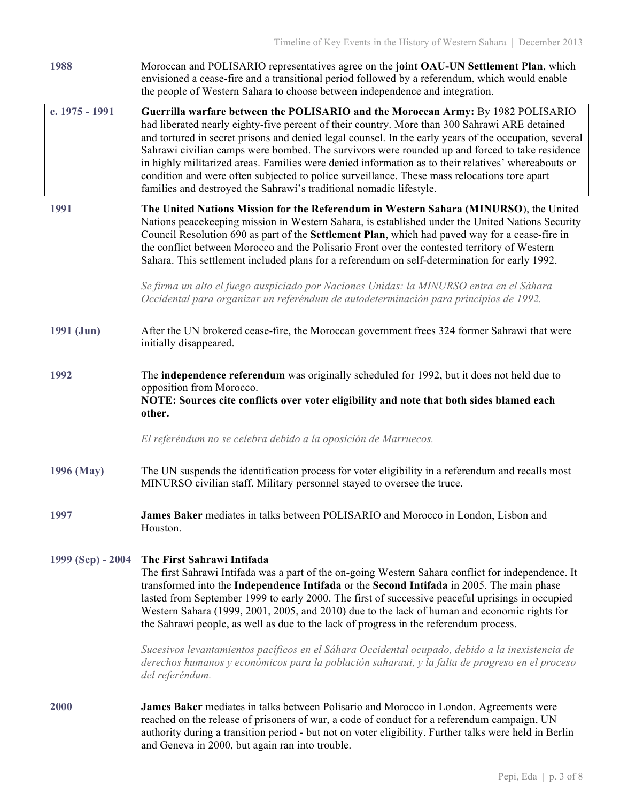| 1988              | Moroccan and POLISARIO representatives agree on the joint OAU-UN Settlement Plan, which<br>envisioned a cease-fire and a transitional period followed by a referendum, which would enable<br>the people of Western Sahara to choose between independence and integration.                                                                                                                                                                                                                                                                                                                                                                                                   |
|-------------------|-----------------------------------------------------------------------------------------------------------------------------------------------------------------------------------------------------------------------------------------------------------------------------------------------------------------------------------------------------------------------------------------------------------------------------------------------------------------------------------------------------------------------------------------------------------------------------------------------------------------------------------------------------------------------------|
| c. 1975 - 1991    | Guerrilla warfare between the POLISARIO and the Moroccan Army: By 1982 POLISARIO<br>had liberated nearly eighty-five percent of their country. More than 300 Sahrawi ARE detained<br>and tortured in secret prisons and denied legal counsel. In the early years of the occupation, several<br>Sahrawi civilian camps were bombed. The survivors were rounded up and forced to take residence<br>in highly militarized areas. Families were denied information as to their relatives' whereabouts or<br>condition and were often subjected to police surveillance. These mass relocations tore apart<br>families and destroyed the Sahrawi's traditional nomadic lifestyle. |
| 1991              | The United Nations Mission for the Referendum in Western Sahara (MINURSO), the United<br>Nations peacekeeping mission in Western Sahara, is established under the United Nations Security<br>Council Resolution 690 as part of the Settlement Plan, which had paved way for a cease-fire in<br>the conflict between Morocco and the Polisario Front over the contested territory of Western<br>Sahara. This settlement included plans for a referendum on self-determination for early 1992.                                                                                                                                                                                |
|                   | Se firma un alto el fuego auspiciado por Naciones Unidas: la MINURSO entra en el Sáhara<br>Occidental para organizar un referéndum de autodeterminación para principios de 1992.                                                                                                                                                                                                                                                                                                                                                                                                                                                                                            |
| 1991 (Jun)        | After the UN brokered cease-fire, the Moroccan government frees 324 former Sahrawi that were<br>initially disappeared.                                                                                                                                                                                                                                                                                                                                                                                                                                                                                                                                                      |
| 1992              | The independence referendum was originally scheduled for 1992, but it does not held due to<br>opposition from Morocco.<br>NOTE: Sources cite conflicts over voter eligibility and note that both sides blamed each<br>other.                                                                                                                                                                                                                                                                                                                                                                                                                                                |
|                   | El referéndum no se celebra debido a la oposición de Marruecos.                                                                                                                                                                                                                                                                                                                                                                                                                                                                                                                                                                                                             |
| 1996 (May)        | The UN suspends the identification process for voter eligibility in a referendum and recalls most<br>MINURSO civilian staff. Military personnel stayed to oversee the truce.                                                                                                                                                                                                                                                                                                                                                                                                                                                                                                |
| 1997              | James Baker mediates in talks between POLISARIO and Morocco in London, Lisbon and<br>Houston.                                                                                                                                                                                                                                                                                                                                                                                                                                                                                                                                                                               |
| 1999 (Sep) - 2004 | The First Sahrawi Intifada<br>The first Sahrawi Intifada was a part of the on-going Western Sahara conflict for independence. It<br>transformed into the Independence Intifada or the Second Intifada in 2005. The main phase<br>lasted from September 1999 to early 2000. The first of successive peaceful uprisings in occupied<br>Western Sahara (1999, 2001, 2005, and 2010) due to the lack of human and economic rights for<br>the Sahrawi people, as well as due to the lack of progress in the referendum process.                                                                                                                                                  |
|                   | Sucesivos levantamientos pacíficos en el Sáhara Occidental ocupado, debido a la inexistencia de<br>derechos humanos y económicos para la población saharaui, y la falta de progreso en el proceso<br>del referéndum.                                                                                                                                                                                                                                                                                                                                                                                                                                                        |
| 2000              | James Baker mediates in talks between Polisario and Morocco in London. Agreements were<br>reached on the release of prisoners of war, a code of conduct for a referendum campaign, UN<br>authority during a transition period - but not on voter eligibility. Further talks were held in Berlin<br>and Geneva in 2000, but again ran into trouble.                                                                                                                                                                                                                                                                                                                          |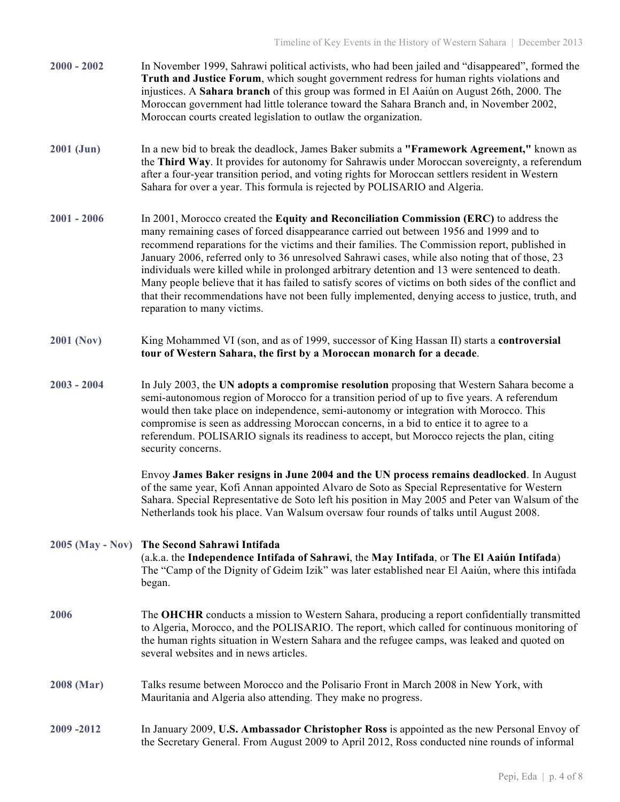| $2000 - 2002$     | In November 1999, Sahrawi political activists, who had been jailed and "disappeared", formed the<br>Truth and Justice Forum, which sought government redress for human rights violations and<br>injustices. A Sahara branch of this group was formed in El Aaiún on August 26th, 2000. The<br>Moroccan government had little tolerance toward the Sahara Branch and, in November 2002,<br>Moroccan courts created legislation to outlaw the organization.                                                                                                                                                                                                                                                                          |
|-------------------|------------------------------------------------------------------------------------------------------------------------------------------------------------------------------------------------------------------------------------------------------------------------------------------------------------------------------------------------------------------------------------------------------------------------------------------------------------------------------------------------------------------------------------------------------------------------------------------------------------------------------------------------------------------------------------------------------------------------------------|
| $2001$ (Jun)      | In a new bid to break the deadlock, James Baker submits a "Framework Agreement," known as<br>the Third Way. It provides for autonomy for Sahrawis under Moroccan sovereignty, a referendum<br>after a four-year transition period, and voting rights for Moroccan settlers resident in Western<br>Sahara for over a year. This formula is rejected by POLISARIO and Algeria.                                                                                                                                                                                                                                                                                                                                                       |
| $2001 - 2006$     | In 2001, Morocco created the Equity and Reconciliation Commission (ERC) to address the<br>many remaining cases of forced disappearance carried out between 1956 and 1999 and to<br>recommend reparations for the victims and their families. The Commission report, published in<br>January 2006, referred only to 36 unresolved Sahrawi cases, while also noting that of those, 23<br>individuals were killed while in prolonged arbitrary detention and 13 were sentenced to death.<br>Many people believe that it has failed to satisfy scores of victims on both sides of the conflict and<br>that their recommendations have not been fully implemented, denying access to justice, truth, and<br>reparation to many victims. |
| <b>2001 (Nov)</b> | King Mohammed VI (son, and as of 1999, successor of King Hassan II) starts a controversial<br>tour of Western Sahara, the first by a Moroccan monarch for a decade.                                                                                                                                                                                                                                                                                                                                                                                                                                                                                                                                                                |
| $2003 - 2004$     | In July 2003, the UN adopts a compromise resolution proposing that Western Sahara become a<br>semi-autonomous region of Morocco for a transition period of up to five years. A referendum<br>would then take place on independence, semi-autonomy or integration with Morocco. This<br>compromise is seen as addressing Moroccan concerns, in a bid to entice it to agree to a<br>referendum. POLISARIO signals its readiness to accept, but Morocco rejects the plan, citing<br>security concerns.                                                                                                                                                                                                                                |
|                   | Envoy James Baker resigns in June 2004 and the UN process remains deadlocked. In August<br>of the same year, Kofi Annan appointed Alvaro de Soto as Special Representative for Western<br>Sahara. Special Representative de Soto left his position in May 2005 and Peter van Walsum of the<br>Netherlands took his place. Van Walsum oversaw four rounds of talks until August 2008.                                                                                                                                                                                                                                                                                                                                               |
|                   | 2005 (May - Nov) The Second Sahrawi Intifada<br>(a.k.a. the Independence Intifada of Sahrawi, the May Intifada, or The El Aaiún Intifada)<br>The "Camp of the Dignity of Gdeim Izik" was later established near El Aaiún, where this intifada<br>began.                                                                                                                                                                                                                                                                                                                                                                                                                                                                            |
| 2006              | The <b>OHCHR</b> conducts a mission to Western Sahara, producing a report confidentially transmitted<br>to Algeria, Morocco, and the POLISARIO. The report, which called for continuous monitoring of<br>the human rights situation in Western Sahara and the refugee camps, was leaked and quoted on<br>several websites and in news articles.                                                                                                                                                                                                                                                                                                                                                                                    |
| 2008 (Mar)        | Talks resume between Morocco and the Polisario Front in March 2008 in New York, with<br>Mauritania and Algeria also attending. They make no progress.                                                                                                                                                                                                                                                                                                                                                                                                                                                                                                                                                                              |
| 2009-2012         | In January 2009, U.S. Ambassador Christopher Ross is appointed as the new Personal Envoy of<br>the Secretary General. From August 2009 to April 2012, Ross conducted nine rounds of informal                                                                                                                                                                                                                                                                                                                                                                                                                                                                                                                                       |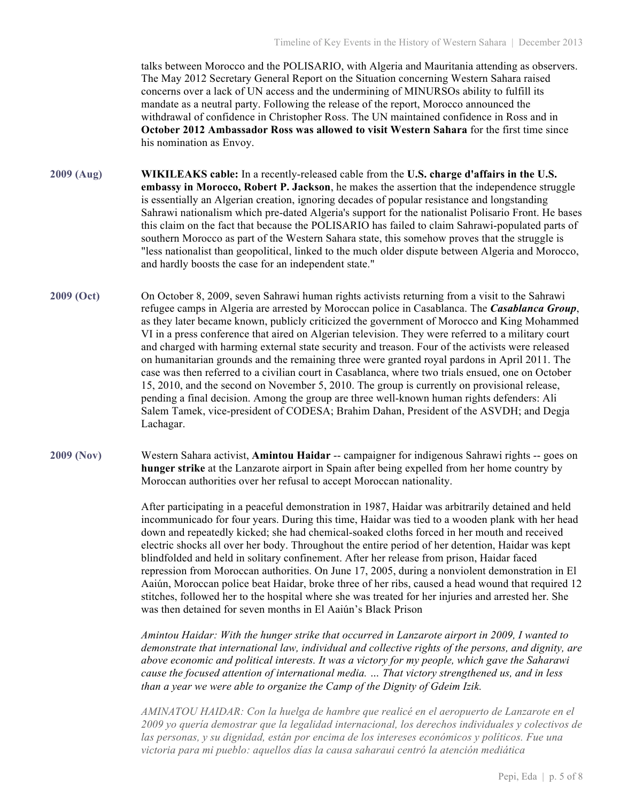talks between Morocco and the POLISARIO, with Algeria and Mauritania attending as observers. The May 2012 Secretary General Report on the Situation concerning Western Sahara raised concerns over a lack of UN access and the undermining of MINURSOs ability to fulfill its mandate as a neutral party. Following the release of the report, Morocco announced the withdrawal of confidence in Christopher Ross. The UN maintained confidence in Ross and in **October 2012 Ambassador Ross was allowed to visit Western Sahara** for the first time since his nomination as Envoy.

**2009 (Aug) WIKILEAKS cable:** In a recently-released cable from the **U.S. charge d'affairs in the U.S. embassy in Morocco, Robert P. Jackson**, he makes the assertion that the independence struggle is essentially an Algerian creation, ignoring decades of popular resistance and longstanding Sahrawi nationalism which pre-dated Algeria's support for the nationalist Polisario Front. He bases this claim on the fact that because the POLISARIO has failed to claim Sahrawi-populated parts of southern Morocco as part of the Western Sahara state, this somehow proves that the struggle is "less nationalist than geopolitical, linked to the much older dispute between Algeria and Morocco, and hardly boosts the case for an independent state."

- **2009 (Oct)** On October 8, 2009, seven Sahrawi human rights activists returning from a visit to the Sahrawi refugee camps in Algeria are arrested by Moroccan police in Casablanca. The *Casablanca Group*, as they later became known, publicly criticized the government of Morocco and King Mohammed VI in a press conference that aired on Algerian television. They were referred to a military court and charged with harming external state security and treason. Four of the activists were released on humanitarian grounds and the remaining three were granted royal pardons in April 2011. The case was then referred to a civilian court in Casablanca, where two trials ensued, one on October 15, 2010, and the second on November 5, 2010. The group is currently on provisional release, pending a final decision. Among the group are three well-known human rights defenders: Ali Salem Tamek, vice-president of CODESA; Brahim Dahan, President of the ASVDH; and Degja Lachagar.
- **2009 (Nov)** Western Sahara activist, **Amintou Haidar** -- campaigner for indigenous Sahrawi rights -- goes on **hunger strike** at the Lanzarote airport in Spain after being expelled from her home country by Moroccan authorities over her refusal to accept Moroccan nationality.

After participating in a peaceful demonstration in 1987, Haidar was arbitrarily detained and held incommunicado for four years. During this time, Haidar was tied to a wooden plank with her head down and repeatedly kicked; she had chemical-soaked cloths forced in her mouth and received electric shocks all over her body. Throughout the entire period of her detention, Haidar was kept blindfolded and held in solitary confinement. After her release from prison, Haidar faced repression from Moroccan authorities. On June 17, 2005, during a nonviolent demonstration in El Aaiún, Moroccan police beat Haidar, broke three of her ribs, caused a head wound that required 12 stitches, followed her to the hospital where she was treated for her injuries and arrested her. She was then detained for seven months in El Aaiún's Black Prison

*Amintou Haidar: With the hunger strike that occurred in Lanzarote airport in 2009, I wanted to demonstrate that international law, individual and collective rights of the persons, and dignity, are above economic and political interests. It was a victory for my people, which gave the Saharawi cause the focused attention of international media. … That victory strengthened us, and in less than a year we were able to organize the Camp of the Dignity of Gdeim Izik.*

*AMINATOU HAIDAR: Con la huelga de hambre que realicé en el aeropuerto de Lanzarote en el 2009 yo quería demostrar que la legalidad internacional, los derechos individuales y colectivos de las personas, y su dignidad, están por encima de los intereses económicos y políticos. Fue una victoria para mi pueblo: aquellos días la causa saharaui centró la atención mediática*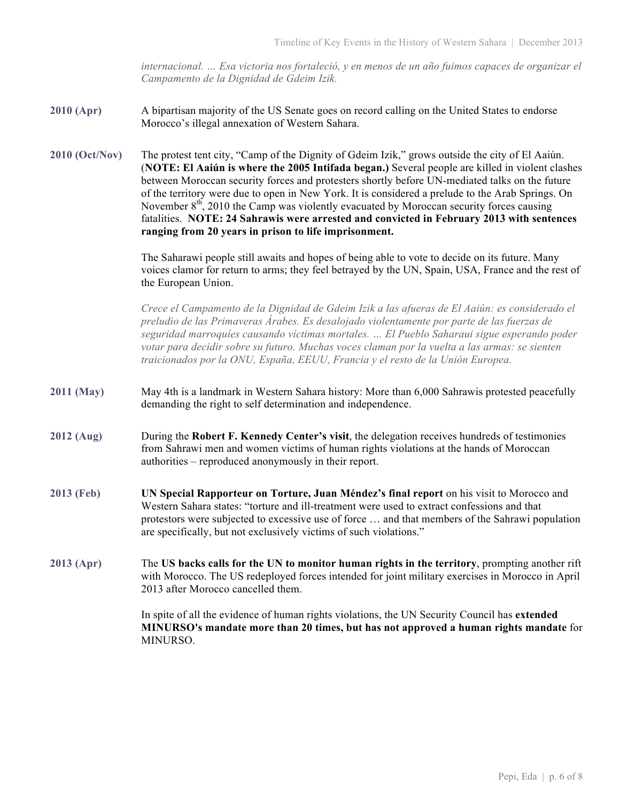*internacional. … Esa victoria nos fortaleció, y en menos de un año fuimos capaces de organizar el Campamento de la Dignidad de Gdeim Izik.*

- **2010 (Apr)** A bipartisan majority of the US Senate goes on record calling on the United States to endorse Morocco's illegal annexation of Western Sahara.
- **2010 (Oct/Nov)** The protest tent city, "Camp of the Dignity of Gdeim Izik," grows outside the city of El Aaiún. (**NOTE: El Aaiún is where the 2005 Intifada began.)** Several people are killed in violent clashes between Moroccan security forces and protesters shortly before UN-mediated talks on the future of the territory were due to open in New York. It is considered a prelude to the Arab Springs. On November  $8<sup>th</sup>$ , 2010 the Camp was violently evacuated by Moroccan security forces causing fatalities. **NOTE: 24 Sahrawis were arrested and convicted in February 2013 with sentences ranging from 20 years in prison to life imprisonment.**

The Saharawi people still awaits and hopes of being able to vote to decide on its future. Many voices clamor for return to arms; they feel betrayed by the UN, Spain, USA, France and the rest of the European Union.

*Crece el Campamento de la Dignidad de Gdeim Izik a las afueras de El Aaiún: es considerado el preludio de las Primaveras Árabes. Es desalojado violentamente por parte de las fuerzas de seguridad marroquíes causando víctimas mortales. … El Pueblo Saharaui sigue esperando poder votar para decidir sobre su futuro. Muchas voces claman por la vuelta a las armas: se sienten traicionados por la ONU, España, EEUU, Francia y el resto de la Unión Europea.*

- **2011 (May)** May 4th is a landmark in Western Sahara history: More than 6,000 Sahrawis protested peacefully demanding the right to self determination and independence.
- **2012 (Aug)** During the **Robert F. Kennedy Center's visit**, the delegation receives hundreds of testimonies from Sahrawi men and women victims of human rights violations at the hands of Moroccan authorities – reproduced anonymously in their report.
- **2013 (Feb) UN Special Rapporteur on Torture, Juan Méndez's final report** on his visit to Morocco and Western Sahara states: "torture and ill-treatment were used to extract confessions and that protestors were subjected to excessive use of force … and that members of the Sahrawi population are specifically, but not exclusively victims of such violations."
- **2013 (Apr)** The **US backs calls for the UN to monitor human rights in the territory**, prompting another rift with Morocco. The US redeployed forces intended for joint military exercises in Morocco in April 2013 after Morocco cancelled them.

In spite of all the evidence of human rights violations, the UN Security Council has **extended MINURSO's mandate more than 20 times, but has not approved a human rights mandate** for MINURSO.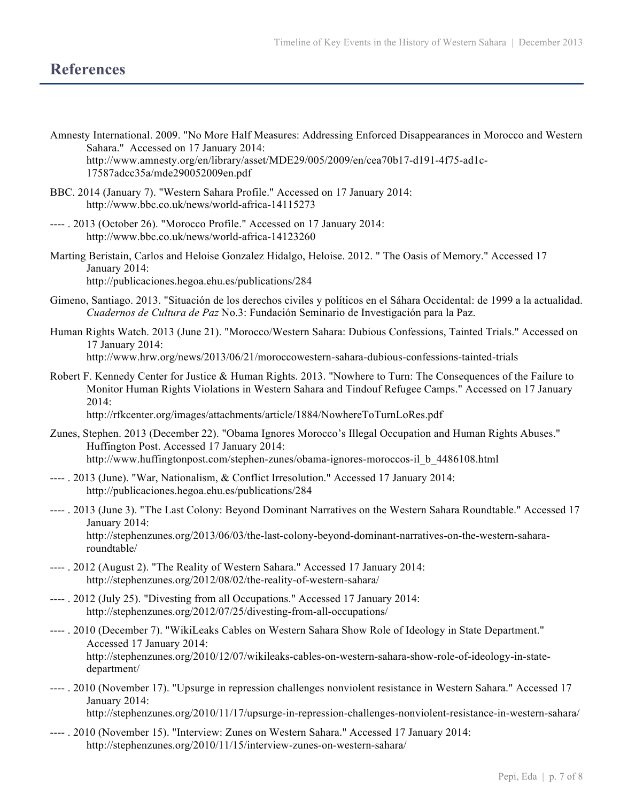## **References**

- Amnesty International. 2009. "No More Half Measures: Addressing Enforced Disappearances in Morocco and Western Sahara." Accessed on 17 January 2014: http://www.amnesty.org/en/library/asset/MDE29/005/2009/en/cea70b17-d191-4f75-ad1c-17587adcc35a/mde290052009en.pdf
- BBC. 2014 (January 7). "Western Sahara Profile." Accessed on 17 January 2014: http://www.bbc.co.uk/news/world-africa-14115273
- ---- . 2013 (October 26). "Morocco Profile." Accessed on 17 January 2014: http://www.bbc.co.uk/news/world-africa-14123260
- Marting Beristain, Carlos and Heloise Gonzalez Hidalgo, Heloise. 2012. " The Oasis of Memory." Accessed 17 January 2014: http://publicaciones.hegoa.ehu.es/publications/284
- Gimeno, Santiago. 2013. "Situación de los derechos civiles y políticos en el Sáhara Occidental: de 1999 a la actualidad. *Cuadernos de Cultura de Paz* No.3: Fundación Seminario de Investigación para la Paz.
- Human Rights Watch. 2013 (June 21). "Morocco/Western Sahara: Dubious Confessions, Tainted Trials." Accessed on 17 January 2014: http://www.hrw.org/news/2013/06/21/moroccowestern-sahara-dubious-confessions-tainted-trials
- Robert F. Kennedy Center for Justice & Human Rights. 2013. "Nowhere to Turn: The Consequences of the Failure to Monitor Human Rights Violations in Western Sahara and Tindouf Refugee Camps." Accessed on 17 January 2014:

http://rfkcenter.org/images/attachments/article/1884/NowhereToTurnLoRes.pdf

- Zunes, Stephen. 2013 (December 22). "Obama Ignores Morocco's Illegal Occupation and Human Rights Abuses." Huffington Post. Accessed 17 January 2014: http://www.huffingtonpost.com/stephen-zunes/obama-ignores-moroccos-il\_b\_4486108.html
- ---- . 2013 (June). "War, Nationalism, & Conflict Irresolution." Accessed 17 January 2014: http://publicaciones.hegoa.ehu.es/publications/284
- ---- . 2013 (June 3). "The Last Colony: Beyond Dominant Narratives on the Western Sahara Roundtable." Accessed 17 January 2014: http://stephenzunes.org/2013/06/03/the-last-colony-beyond-dominant-narratives-on-the-western-sahararoundtable/
- ---- . 2012 (August 2). "The Reality of Western Sahara." Accessed 17 January 2014: http://stephenzunes.org/2012/08/02/the-reality-of-western-sahara/
- ---- . 2012 (July 25). "Divesting from all Occupations." Accessed 17 January 2014: http://stephenzunes.org/2012/07/25/divesting-from-all-occupations/
- ---- . 2010 (December 7). "WikiLeaks Cables on Western Sahara Show Role of Ideology in State Department." Accessed 17 January 2014: http://stephenzunes.org/2010/12/07/wikileaks-cables-on-western-sahara-show-role-of-ideology-in-statedepartment/
- ---- . 2010 (November 17). "Upsurge in repression challenges nonviolent resistance in Western Sahara." Accessed 17 January 2014: http://stephenzunes.org/2010/11/17/upsurge-in-repression-challenges-nonviolent-resistance-in-western-sahara/
- ---- . 2010 (November 15). "Interview: Zunes on Western Sahara." Accessed 17 January 2014: http://stephenzunes.org/2010/11/15/interview-zunes-on-western-sahara/